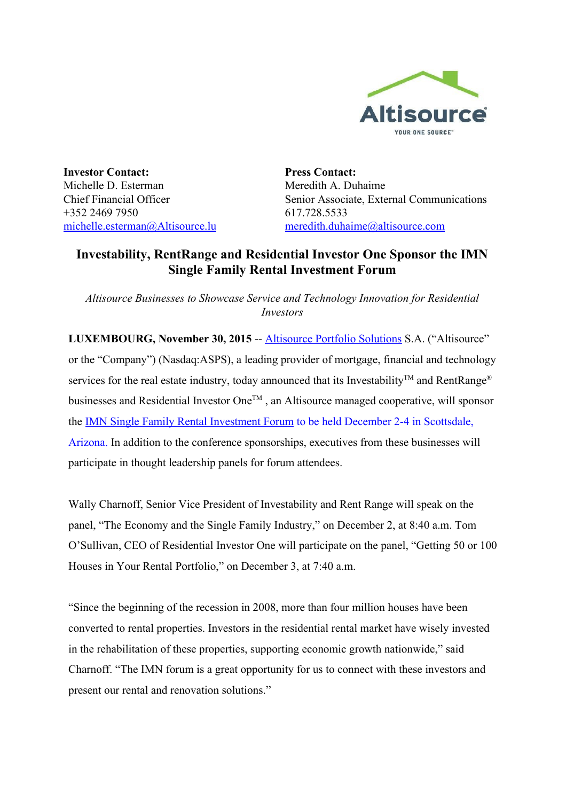

**Investor Contact:** Michelle D. Esterman Chief Financial Officer +352 2469 7950 [michelle.esterman@Altisource.lu](mailto:michelle.esterman@Altisource.lu) **Press Contact:** Meredith A. Duhaime Senior Associate, External Communications 617.728.5533 [meredith.duhaime@altisource.com](mailto:meredith.duhaime@altisource.com)

# **Investability, RentRange and Residential Investor One Sponsor the IMN Single Family Rental Investment Forum**

*Altisource Businesses to Showcase Service and Technology Innovation for Residential Investors*

**LUXEMBOURG, November 30, 2015** -- **[Altisource](http://www.altisource.com/) Portfolio Solutions S.A.** ("Altisource" or the "Company") (Nasdaq:ASPS), a leading provider of mortgage, financial and technology services for the real estate industry, today announced that its Investability<sup>™</sup> and RentRange<sup>®</sup> businesses and Residential Investor One™, an Altisource managed cooperative, will sponsor the IMN Single Family Rental [Investment](https://www.imn.org/real-estate/conference/Single-Family-Aggregation-Strategies-15/) Forum to be held December 24 in Scottsdale, Arizona. In addition to the conference sponsorships, executives from these businesses will participate in thought leadership panels for forum attendees.

Wally Charnoff, Senior Vice President of Investability and Rent Range will speak on the panel, "The Economy and the Single Family Industry," on December 2, at 8:40 a.m. Tom O'Sullivan, CEO of Residential Investor One will participate on the panel, "Getting 50 or 100 Houses in Your Rental Portfolio," on December 3, at 7:40 a.m.

"Since the beginning of the recession in 2008, more than four million houses have been converted to rental properties. Investors in the residential rental market have wisely invested in the rehabilitation of these properties, supporting economic growth nationwide," said Charnoff. "The IMN forum is a great opportunity for us to connect with these investors and present our rental and renovation solutions."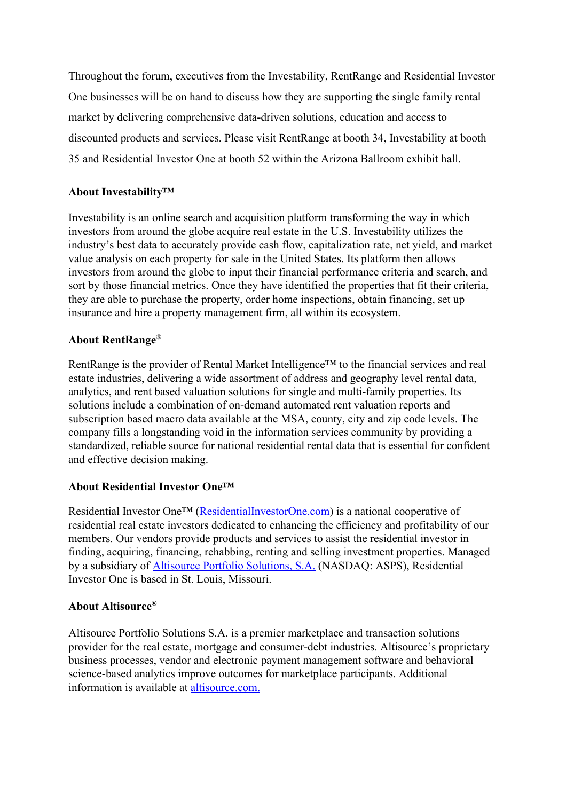Throughout the forum, executives from the Investability, RentRange and Residential Investor One businesses will be on hand to discuss how they are supporting the single family rental market by delivering comprehensive data-driven solutions, education and access to discounted products and services. Please visit RentRange at booth 34, Investability at booth 35 and Residential Investor One at booth 52 within the Arizona Ballroom exhibit hall.

## **About Investability™**

Investability is an online search and acquisition platform transforming the way in which investors from around the globe acquire real estate in the U.S. Investability utilizes the industry's best data to accurately provide cash flow, capitalization rate, net yield, and market value analysis on each property for sale in the United States. Its platform then allows investors from around the globe to input their financial performance criteria and search, and sort by those financial metrics. Once they have identified the properties that fit their criteria, they are able to purchase the property, order home inspections, obtain financing, set up insurance and hire a property management firm, all within its ecosystem.

## **About RentRange**®

RentRange is the provider of Rental Market Intelligence™ to the financial services and real estate industries, delivering a wide assortment of address and geography level rental data, analytics, and rent based valuation solutions for single and multi-family properties. Its solutions include a combination of on-demand automated rent valuation reports and subscription based macro data available at the MSA, county, city and zip code levels. The company fills a longstanding void in the information services community by providing a standardized, reliable source for national residential rental data that is essential for confident and effective decision making.

### **About Residential Investor One™**

Residential Investor One™ [\(ResidentialInvestorOne.com](http://www.residentialinvestorone.com/?utm_campaign=IMNConfrence&utm_source=PR&utm_medium=PR&utm_content=boilerplate)) is a national cooperative of residential real estate investors dedicated to enhancing the efficiency and profitability of our members. Our vendors provide products and services to assist the residential investor in finding, acquiring, financing, rehabbing, renting and selling investment properties. Managed by a subsidiary of [Altisource](http://www.altisource.com/?utm_campaign=IMNConfrence&utm_source=PR&utm_medium=PR&utm_content=boilerplate) Portfolio Solutions, S.A. (NASDAQ: ASPS), Residential Investor One is based in St. Louis, Missouri.

## **About Altisource®**

Altisource Portfolio Solutions S.A. is a premier marketplace and transaction solutions provider for the real estate, mortgage and consumer-debt industries. Altisource's proprietary business processes, vendor and electronic payment management software and behavioral science-based analytics improve outcomes for marketplace participants. Additional information is available at [altisource.com.](http://www.altisource.com/?utm_campaign=IMNConfrence&utm_source=PR&utm_medium=PR&utm_content=boilerplate)